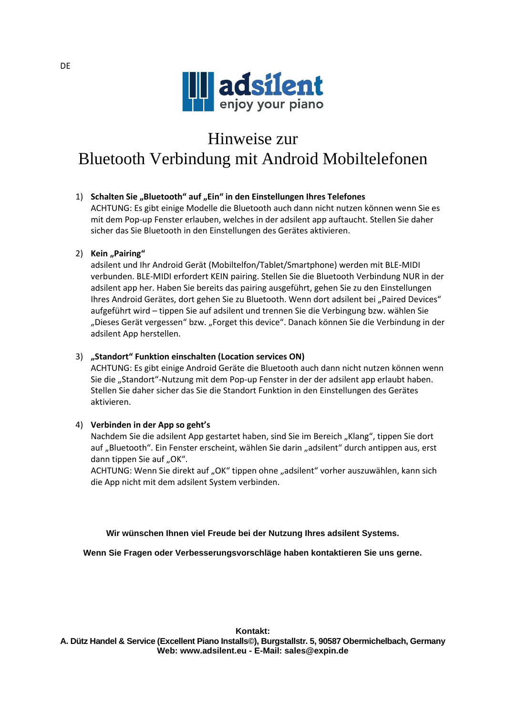

# Hinweise zur

# Bluetooth Verbindung mit Android Mobiltelefonen

## 1) Schalten Sie "Bluetooth" auf "Ein" in den Einstellungen Ihres Telefones

ACHTUNG: Es gibt einige Modelle die Bluetooth auch dann nicht nutzen können wenn Sie es mit dem Pop-up Fenster erlauben, welches in der adsilent app auftaucht. Stellen Sie daher sicher das Sie Bluetooth in den Einstellungen des Gerätes aktivieren.

### 2) **Kein** "Pairing"

adsilent und Ihr Android Gerät (Mobiltelfon/Tablet/Smartphone) werden mit BLE-MIDI verbunden. BLE-MIDI erfordert KEIN pairing. Stellen Sie die Bluetooth Verbindung NUR in der adsilent app her. Haben Sie bereits das pairing ausgeführt, gehen Sie zu den Einstellungen Ihres Android Gerätes, dort gehen Sie zu Bluetooth. Wenn dort adsilent bei "Paired Devices" aufgeführt wird – tippen Sie auf adsilent und trennen Sie die Verbingung bzw. wählen Sie "Dieses Gerät vergessen" bzw. "Forget this device". Danach können Sie die Verbindung in der adsilent App herstellen.

#### 3) **"Standort" Funktion einschalten (Location services ON)**

ACHTUNG: Es gibt einige Android Geräte die Bluetooth auch dann nicht nutzen können wenn Sie die "Standort"-Nutzung mit dem Pop-up Fenster in der der adsilent app erlaubt haben. Stellen Sie daher sicher das Sie die Standort Funktion in den Einstellungen des Gerätes aktivieren.

#### 4) **Verbinden in der App so geht's**

Nachdem Sie die adsilent App gestartet haben, sind Sie im Bereich "Klang", tippen Sie dort auf "Bluetooth". Ein Fenster erscheint, wählen Sie darin "adsilent" durch antippen aus, erst dann tippen Sie auf "OK".

ACHTUNG: Wenn Sie direkt auf "OK" tippen ohne "adsilent" vorher auszuwählen, kann sich die App nicht mit dem adsilent System verbinden.

**Wir wünschen Ihnen viel Freude bei der Nutzung Ihres adsilent Systems.**

**Wenn Sie Fragen oder Verbesserungsvorschläge haben kontaktieren Sie uns gerne.**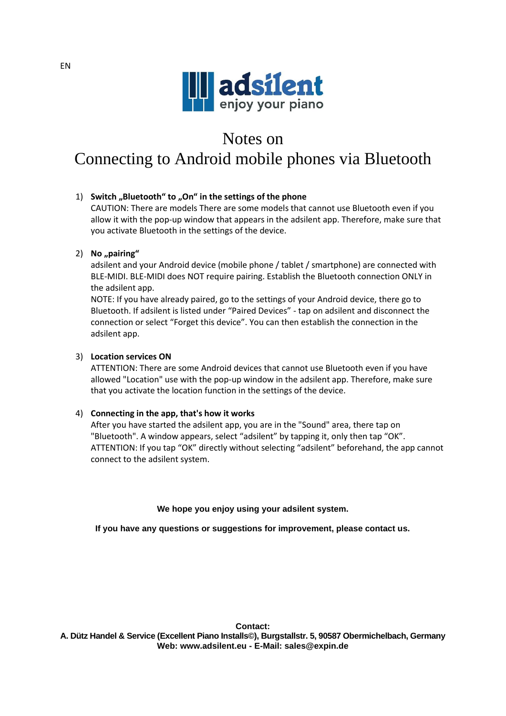

# Notes on

Connecting to Android mobile phones via Bluetooth

### 1) **Switch "Bluetooth" to "On" in the settings of the phone**

CAUTION: There are models There are some models that cannot use Bluetooth even if you allow it with the pop-up window that appears in the adsilent app. Therefore, make sure that you activate Bluetooth in the settings of the device.

### 2) No<sub>*n*</sub>pairing"

adsilent and your Android device (mobile phone / tablet / smartphone) are connected with BLE-MIDI. BLE-MIDI does NOT require pairing. Establish the Bluetooth connection ONLY in the adsilent app.

NOTE: If you have already paired, go to the settings of your Android device, there go to Bluetooth. If adsilent is listed under "Paired Devices" - tap on adsilent and disconnect the connection or select "Forget this device". You can then establish the connection in the adsilent app.

### 3) **Location services ON**

ATTENTION: There are some Android devices that cannot use Bluetooth even if you have allowed "Location" use with the pop-up window in the adsilent app. Therefore, make sure that you activate the location function in the settings of the device.

#### 4) **Connecting in the app, that's how it works**

After you have started the adsilent app, you are in the "Sound" area, there tap on "Bluetooth". A window appears, select "adsilent" by tapping it, only then tap "OK". ATTENTION: If you tap "OK" directly without selecting "adsilent" beforehand, the app cannot connect to the adsilent system.

#### **We hope you enjoy using your adsilent system.**

**If you have any questions or suggestions for improvement, please contact us.**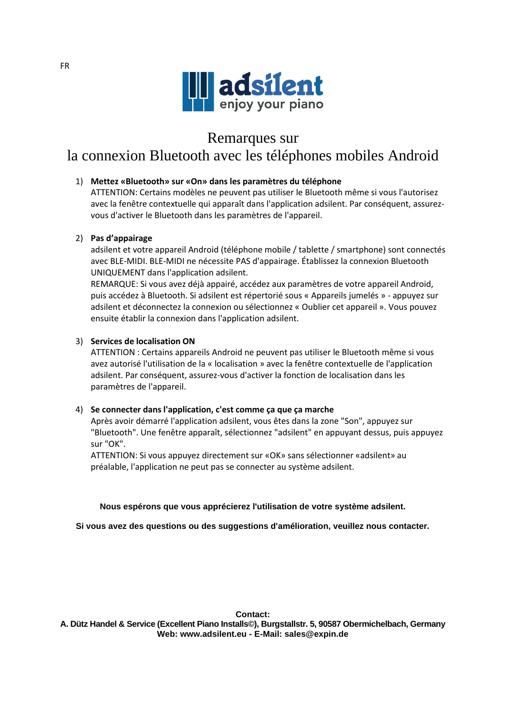

# Remarques sur

# la connexion Bluetooth avec les téléphones mobiles Android

# 1) **Mettez «Bluetooth» sur «On» dans les paramètres du téléphone**

ATTENTION: Certains modèles ne peuvent pas utiliser le Bluetooth même si vous l'autorisez avec la fenêtre contextuelle qui apparaît dans l'application adsilent. Par conséquent, assurezvous d'activer le Bluetooth dans les paramètres de l'appareil.

## 2) **Pas d'appairage**

adsilent et votre appareil Android (téléphone mobile / tablette / smartphone) sont connectés avec BLE-MIDI. BLE-MIDI ne nécessite PAS d'appairage. Établissez la connexion Bluetooth UNIQUEMENT dans l'application adsilent.

REMARQUE: Si vous avez déjà appairé, accédez aux paramètres de votre appareil Android, puis accédez à Bluetooth. Si adsilent est répertorié sous « Appareils jumelés » - appuyez sur adsilent et déconnectez la connexion ou sélectionnez « Oublier cet appareil ». Vous pouvez ensuite établir la connexion dans l'application adsilent.

## 3) **Services de localisation ON**

ATTENTION : Certains appareils Android ne peuvent pas utiliser le Bluetooth même si vous avez autorisé l'utilisation de la « localisation » avec la fenêtre contextuelle de l'application adsilent. Par conséquent, assurez-vous d'activer la fonction de localisation dans les paramètres de l'appareil.

## 4) **Se connecter dans l'application, c'est comme ça que ça marche**

Après avoir démarré l'application adsilent, vous êtes dans la zone "Son", appuyez sur "Bluetooth". Une fenêtre apparaît, sélectionnez "adsilent" en appuyant dessus, puis appuyez sur "OK".

ATTENTION: Si vous appuyez directement sur «OK» sans sélectionner «adsilent» au préalable, l'application ne peut pas se connecter au système adsilent.

## **Nous espérons que vous apprécierez l'utilisation de votre système adsilent.**

## **Si vous avez des questions ou des suggestions d'amélioration, veuillez nous contacter.**